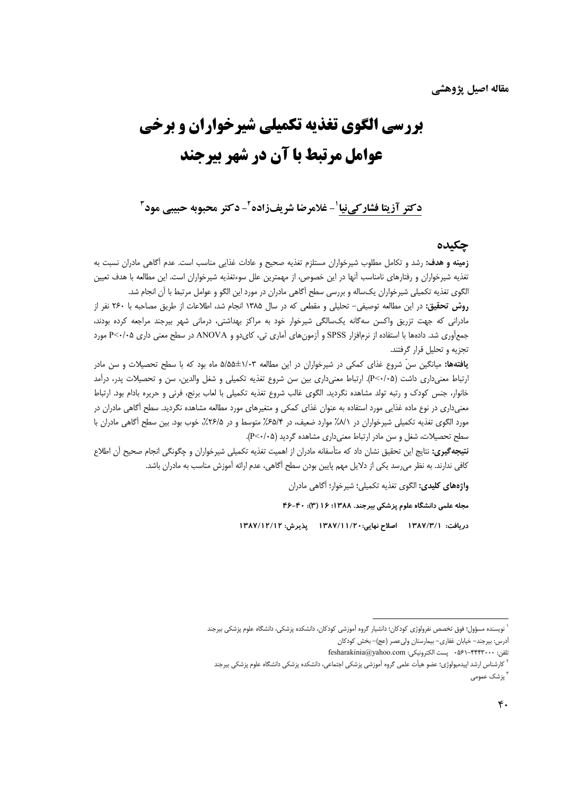# **بررسی الگوی تغذیه تکمیلی شیرخواران و برخی** عوامل مرتبط یا آن در شهر پیرحند

#### دكتر آزيتا فشاركي نيا ْ- غلامرضا شريفزاده ْ- دكتر محبوبه حبيبي مود ْ

#### حكىدە

**زمینه و هدف:** رشد و تکامل مطلوب شیرخواران مستلزم تغذیه صحیح و عادات غذایی مناسب است. عدم آگاهی مادران نسبت به تغذیه شیرخواران و رفتارهای نامناسب آنها در این خصوص، از مهمترین علل سوءتغذیه شیرخواران است. این مطالعه با هدف تعیین الگوی تغذیه تکمیلی شیرخواران یکساله و بررسی سطح أگاهی مادران در مورد این الگو و عوامل مرتبط با آن انجام شد.

**روش تحقیق:** در این مطالعه توصیفی- تحلیلی و مقطعی که در سال ۱۳۸۵ انجام شد، اطلاعات از طریق مصاحبه با ۲۶۰ نفر از مادرانی که جهت تزریق واکسن سهگانه یکسالگی شیرخوار خود به مراکز بهداشتی، درمانی شهر بیرجند مراجعه کرده بودند، جمع آوری شد. دادهها با استفاده از نرمافزار SPSS و آزمون های آماری تی، کای دو و ANOVA در سطح معنی داری ۶<۰/٠^ مورد تجزیه و تحلیل قرار گرفتند.

**یافتهها:** میانگین سنّ شروع غذای کمکی در شیرخواران در این مطالعه ۱/۰۳±۵/۵۵ ماه بود که با سطح تحصیلات و سن مادر ارتباط معنیداری داشت (P<۰/۰۵). ارتباط معنیداری بین سن شروع تغذیه تکمیلی و شغل والدین، سن و تحصیلات پدر، درآمد خانوار، جنس کودک و رتبه تولد مشاهده نگردید. الگوی غالب شروع تغذیه تکمیلی با لعاب برنج، فرنی و حریره بادام بود. ارتباط معنیداری در نوع ماده غذایی مورد استفاده به عنوان غذای کمکی و متغیرهای مورد مطالعه مشاهده نگردید. سطح آگاهی مادران در مورد الگوی تغذیه تکمیلی شیرخواران در ۸/۱٪ موارد ضعیف، در ۶۵/۴٪ متوسط و در ۲۶/۵٪، خوب بود. بین سطح آگاهی مادران با سطح تحصیلات، شغل و سن مادر ارتباط معنی داری مشاهده گردید (P<۰/۰۵).

**نتيجه گيري:** نتايج اين تحقيق نشان داد كه متأسفانه مادران از اهميت تغذيه تكميلي شيرخواران و چگونگي انجام صحيح آن اطلاع كافي ندارند. به نظر مي رسد يكي از دلايل مهم پايين بودن سطح آگاهي، عدم ارائه آموزش مناسب به مادران باشد.

واژههای کلیدی: الگوی تغذیه تکمیلی؛ شیرخوار؛ آگاهی مادران

مجله علمی دانشگاه علوم پزشکی بیرجند. ۱۳۸۸؛ ۱۶ (۳): ۴۰-۴۶

دريافت: ١٣٨٧/٣/١ اصلاح نهايي:١٣٨٧/١١/٢٠ يذيرش: ١٣٨٧/١٢/١٢

<sup>ّ</sup> نویسنده مسؤول؛ فوق تخصص نفرولوژی کودکان؛ دانشیار گروه آموزشی کودکان، دانشکده پزشکی، دانشگاه علوم پزشکی بیرجند

أدرس: بيرجند- خيابان غفاري- بيمارستان وليءصر (عج)- بخش كودكان

تلفن: ۴۴۴۳۰۰۰-۵۶۱- ۵۶۱- پست الکترونیکی: fesharakinia@yahoo.com

<sup>&</sup>lt;sup>۲</sup> کارشناس ارشد اپیدمیولوژی؛ عضو هیأت علمی گروه آموزشی پزشکی اجتماعی، دانشکده پزشکی دانشگاه علوم پزشکی بیرجند ۳<br>" پزشک عمومے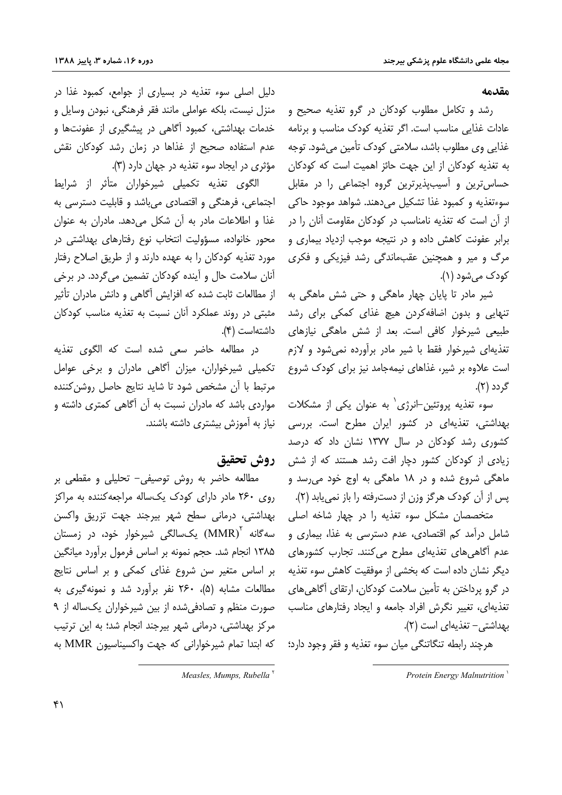#### مقدمه

رشد و تکامل مطلوب کودکان در گرو تغذیه صحیح و عادات غذایی مناسب است. اگر تغذیه کودک مناسب و برنامه غذایی وی مطلوب باشد، سلامتی کودک تأمین میشود. توجه به تغذیه کودکان از این جهت حائز اهمیت است که کودکان حساس ترین و آسیبپذیرترین گروه اجتماعی را در مقابل سوءتغذيه و كمبود غذا تشكيل مي دهند. شواهد موجود حاكي از آن است که تغذیه نامناسب در کودکان مقاومت آنان را در برابر عفونت كاهش داده و در نتيجه موجب ازدياد بيمارى و مرگ و میر و همچنین عقبماندگی رشد فیزیکی و فکری کودک مے شود (۱).

شیر مادر تا پایان چهار ماهگی و حتی شش ماهگی به تنهایی و بدون اضافهکردن هیچ غذای کمکی برای رشد طبیعی شیرخوار کافی است. بعد از شش ماهگی نیازهای تغذیهای شیرخوار فقط با شیر مادر برآورده نمی شود و لازم است علاوه بر شیر، غذاهای نیمهجامد نیز برای کودک شروع گردد (۲).

سوء تغذیه پروتئین-انرژی' به عنوان یکی از مشکلات بهداشتی، تغذیهای در کشور ایران مطرح است. بررسی کشوری رشد کودکان در سال ۱۳۷۷ نشان داد که درصد زیادی از کودکان کشور دچار افت رشد هستند که از شش ماهگی شروع شده و در ۱۸ ماهگی به اوج خود می رسد و یس از آن کودک هرگز وزن از دسترفته را باز نمی یابد (۲).

متخصصان مشکل سوء تغذیه را در چهار شاخه اصلی شامل درآمد کم اقتصادی، عدم دسترسی به غذا، بیماری و عدم آگاهی های تغذیهای مطرح می کنند. تجارب کشورهای دیگر نشان داده است که بخشی از موفقیت کاهش سوء تغذیه در گرو پرداختن به تأمین سلامت کودکان، ارتقای آگاهی های تغذیهای، تغییر نگرش افراد جامعه و ایجاد رفتارهای مناسب بهداشتی- تغذیهای است (٢).

هرچند رابطه تنگاتنگی میان سوء تغذیه و فقر وجود دارد؛

دلیل اصلی سوء تغذیه در بسیاری از جوامع، کمبود غذا در منزل نيست، بلكه عواملي مانند فقر فرهنگي، نبودن وسايل و خدمات بهداشتی، کمبود اّگاهی در پیشگیری از عفونتها و عدم استفاده صحیح از غذاها در زمان رشد کودکان نقش مؤثري در ايجاد سوء تغذيه در جهان دارد (٣).

الگوی تغذیه تکمیلی شیرخواران متأثر از شرایط اجتماعي، فرهنگي و اقتصادي مي باشد و قابليت دسترسي به غذا و اطلاعات مادر به آن شکل می دهد. مادران به عنوان محور خانواده، مسؤولیت انتخاب نوع رفتارهای بهداشتی در مورد تغذیه کودکان را به عهده دارند و از طریق اصلاح رفتار آنان سلامت حال و آینده کودکان تضمین میگردد. در برخی از مطالعات ثابت شده که افزایش آگاهی و دانش مادران تأثیر مثبتی در روند عملکرد آنان نسبت به تغذیه مناسب کودکان داشتهاست (۴).

در مطالعه حاضر سعی شده است که الگوی تغذیه تکمیلی شیرخواران، میزان آگاهی مادران و برخی عوامل مرتبط با آن مشخص شود تا شاید نتایج حاصل روشن کننده مواردی باشد که مادران نسبت به آن آگاهی کمتری داشته و نیاز به آموزش بیشتری داشته باشند.

### روش تحقيق

مطالعه حاضر به روش توصیفی- تحلیلی و مقطعی بر روی ۲۶۰ مادر دارای کودک یکساله مراجعه کننده به مراکز بهداشتی، درمانی سطح شهر بیرجند جهت تزریق واکسن سه گانه  $\text{(MMR)}^\text{V}$  یک $\text{fullR}_\text{a}$  شیرخوار خود، در زمستان ۱۳۸۵ انجام شد. حجم نمونه بر اساس فرمول برآورد میانگین بر اساس متغیر سن شروع غذای کمکی و بر اساس نتایج مطالعات مشابه (۵)، ۲۶۰ نفر برآورد شد و نمونهگیری به صورت منظم و تصادفی شده از بین شیرخواران یک اله از ۹ مرکز بهداشتی، درمانی شهر بیرجند انجام شد؛ به این ترتیب كه ابتدا تمام شيرخواراني كه جهت واكسيناسيون MMR به

Protein Energy Malnutrition

Measles, Mumps, Rubella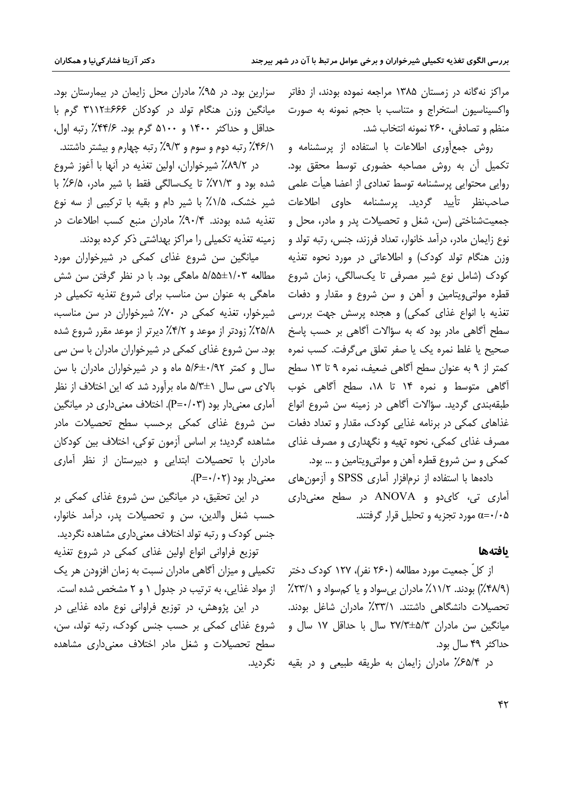مراکز نهگانه در زمستان ۱۳۸۵ مراجعه نموده بودند، از دفاتر واکسیناسیون استخراج و متناسب با حجم نمونه به صورت منظم و تصادفی، ۲۶۰ نمونه انتخاب شد.

روش جمع آوری اطلاعات با استفاده از پرسشنامه و تكميل آن به روش مصاحبه حضورى توسط محقق بود. روایی محتوایی پرسشنامه توسط تعدادی از اعضا هیأت علمی صاحب نظر تأييد گرديد. يرىسشنامه حاوى اطلاعات جمعیتشناختی (سن، شغل و تحصیلات پدر و مادر، محل و نوع زايمان مادر، درآمد خانوار، تعداد فرزند، جنس، رتبه تولد و وزن هنگام تولد کودک) و اطلاعاتی در مورد نحوه تغذیه کودک (شامل نوع شیر مصرفی تا یکسالگی، زمان شروع قطره مولتیویتامین و آهن و سن شروع و مقدار و دفعات تغذیه با انواع غذای کمکی) و هجده پرسش جهت بررسی سطح اًگاهی مادر بود که به سؤالات اَگاهی بر حسب پاسخ صحيح يا غلط نمره يک يا صفر تعلق مي گرفت. کسب نمره كمتر از ۹ به عنوان سطح آگاهی ضعیف، نمره ۹ تا ۱۳ سطح آگاهی متوسط و نمره ۱۴ تا ۱۸، سطح آگاهی خوب طبقهبندی گردید. سؤالات آگاهی در زمینه سن شروع انواع غذاهای کمکی در برنامه غذایی کودک، مقدار و تعداد دفعات مصرف غذای کمکی، نحوه تهیه و نگهداری و مصرف غذای کمکي و سن شروع قطره آهن و مولتي ويتامين و … بود.

دادهها با استفاده از نرمافزار آماری SPSS و آزمون های آماری تی، کای دو و ANOVA در سطح معنی داری مورد تجزیه و تحلیل قرار گرفتند.  $\alpha = \cdot / \cdot \Delta$ 

#### بافتهها

از کلّ جمعیت مورد مطالعه (۲۶۰ نفر)، ۱۲۷ کودک دختر (۴۸/۹٪) بودند. ۱۱/۲٪ مادران بی سواد و یا کم سواد و ۲۳/۱٪ تحصیلات دانشگاهی داشتند. ۳۳/۱٪ مادران شاغل بودند. میانگین سن مادران ۳۷/۳±۵/۳ سال با حداقل ۱۷ سال و حداكثر ۴۹ سال بود.

در ۶۵/۴٪ مادران زایمان به طریقه طبیعی و در بقیه

سزارین بود. در ۹۵٪ مادران محل زایمان در بیمارستان بود. میانگین وزن هنگام تولد در کودکان ۶۶۶±۳۱۱۲ گرم با حداقل و حداکثر ۱۴۰۰ و ۵۱۰۰ گرم بود. ۴۴/۶٪ رتبه اول، ۴۶/۱٪ رتبه دوم و سوم و ۹/۳٪ رتبه چهارم و بیشتر داشتند. در ۸۹/۲٪ شیرخواران، اولین تغذیه در آنها با آغوز شروع

شده بود و ٧١/٣٪ تا یکسالگی فقط با شیر مادر، ۶/۵٪ با شیر خشک، ۱/۵٪ با شیر دام و بقیه با ترکیبی از سه نوع تغذیه شده بودند. ۰٫۹۰/۴٪ مادران منبع کسب اطلاعات در زمینه تغذیه تکمیلی را مراکز بهداشتی ذکر کرده بودند.

میانگین سن شروع غذای کمکی در شیرخواران مورد مطالعه ۱/۰۳±۵/۵۵ ماهگی بود. با در نظر گرفتن سن شش ماهگی به عنوان سن مناسب برای شروع تغذیه تکمیلی در شیرخوار، تغذیه کمکی در ۷۰٪ شیرخواران در سن مناسب، ۲۵/۸٪ زودتر از موعد و ۴/۲٪ دیرتر از موعد مقرر شروع شده بود. سن شروع غذای کمکی در شیرخواران مادران با سن سی سال و کمتر ۵/۶±۰/۹۲ ماه و در شیرخواران مادران با سن بالای سی سال ۱±۵/۳ ماه برآورد شد که این اختلاف از نظر آماری معنیدار بود (P=۰/۰۳). اختلاف معنیداری در میانگین سن شروع غذای کمکی برحسب سطح تحصیلات مادر مشاهده گردید؛ بر اساس آزمون توکی، اختلاف بین کودکان مادران با تحصیلات ابتدایی و دبیرستان از نظر آماری  $(P = \cdot / \cdot \tau)$  معنی دار بود

در این تحقیق، در میانگین سن شروع غذای کمکی بر حسب شغل والدين، سن و تحصيلات يدر، درآمد خانوار، جنس کودک و رتبه تولد اختلاف معنیداری مشاهده نگردید.

توزيع فراواني انواع اولين غذاي كمكي در شروع تغذيه تکمیلی و میزان آگاهی مادران نسبت به زمان افزودن هر یک از مواد غذایی، به ترتیب در جدول ۱ و ۲ مشخص شده است.

در این پژوهش، در توزیع فراوانی نوع ماده غذایی در شروع غذای کمکی بر حسب جنس کودک، رتبه تولد، سن، سطح تحصیلات و شغل مادر اختلاف معنیداری مشاهده نگردىد.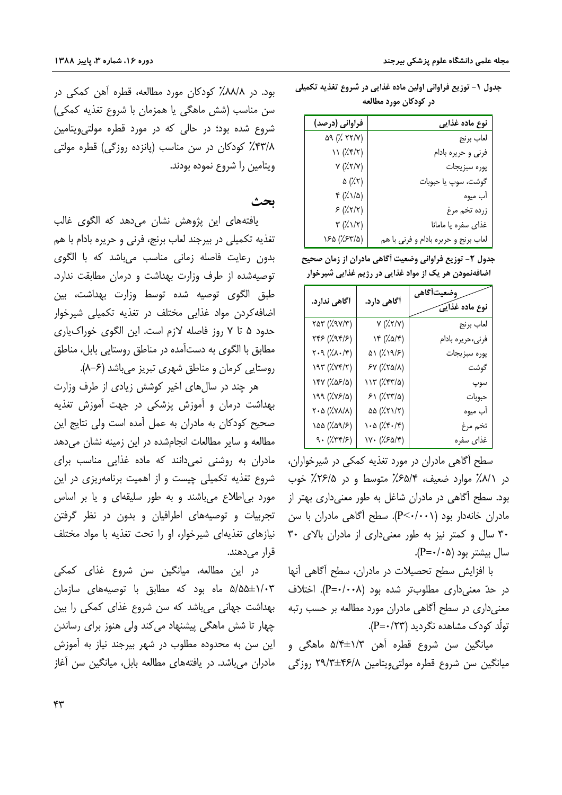| فراوانی (درصد)                        | نوع ماده غذایی                       |
|---------------------------------------|--------------------------------------|
| 09 (777)                              | لعاب برنج                            |
| 11 (7.77)                             | فرني و حريره بادام                   |
| Y(X,Y Y)                              | پوره سبزيجات                         |
| $\Delta (\gamma)$                     | گوشت، سوپ یا حبوبات                  |
| $f(\lambda)/\Delta)$                  | آب ميوه                              |
| 5 (7.77)                              | زرده تخم مرغ                         |
| $\mathbf{r}$ ( $\lambda \mathbf{v}$ ) | غذای سفره یا مامانا                  |
| (۲٫۶۳/۵) ۱۶۵                          | لعاب برنج و حريره بادام و فرني با هم |

جدول ١- توزيع فراواني اولين ماده غذايي در شروع تغذيه تكميلي در کودکان مورد مطالعه

جدول ٢- توزيع فراواني وضعيت أكَاهي مادران از زمان صحيح اضافهنمودن هر یک از مواد غذایی در رژیم غذایی شیرخوار

| أگاهى ندارد.                                                                                                                                                                                                                                                                                                                                                                                                                                  | أگاهی دارد.                            | وضعيتأكاهي<br>نوع ماده غذای <i>ک</i> |
|-----------------------------------------------------------------------------------------------------------------------------------------------------------------------------------------------------------------------------------------------------------------------------------------------------------------------------------------------------------------------------------------------------------------------------------------------|----------------------------------------|--------------------------------------|
| ۳۵۳ (۷۷/۳)                                                                                                                                                                                                                                                                                                                                                                                                                                    | Y(X,Y Y)                               | لعاب برنج                            |
| $YfS(\lambda Yf/\lambda)$                                                                                                                                                                                                                                                                                                                                                                                                                     | ۱۴ (۱۵/۴)                              | فرني،حريره بادام                     |
| $\mathbf{Y} \cdot \mathbf{A} \ (\text{a.e.} \ \text{or} \ \mathbf{X}) \ \text{for} \ \mathbf{Y} \ \text{or} \ \mathbf{Y} \ \text{or} \ \mathbf{Y} \ \text{or} \ \mathbf{Y} \ \text{or} \ \mathbf{Y} \ \text{or} \ \mathbf{Y} \ \text{or} \ \mathbf{Y} \ \text{or} \ \mathbf{Y} \ \text{or} \ \mathbf{Y} \ \text{or} \ \mathbf{Y} \ \text{or} \ \mathbf{Y} \ \text{or} \ \mathbf{Y} \ \text{or} \ \mathbf{Y} \ \text{or} \ \mathbf{Y} \ \text$ | ۵۱ (۱۹/۶) $\varphi$                    | پوره سبزيجات                         |
| 197 (797)                                                                                                                                                                                                                                                                                                                                                                                                                                     | $Y(X,Y_{\alpha}/X)$                    | گوشت                                 |
| (۲۵۶/۵۶) ۱۴۷                                                                                                                                                                                                                                                                                                                                                                                                                                  | ۱۱۳ (۷۴۳/۵)                            | سوپ                                  |
| 199 (1841)                                                                                                                                                                                                                                                                                                                                                                                                                                    | 51 (757/2)                             | حبوبات                               |
| ۲۰۵ (۷۸/۸)                                                                                                                                                                                                                                                                                                                                                                                                                                    | ۵۵ (۲۱/۲) $\left( \frac{1}{2} \right)$ | آب ميوه                              |
| ۱۵۵ (۵۹/۶)                                                                                                                                                                                                                                                                                                                                                                                                                                    | (۲۰/۴۰/۴) ۱۰۵                          | تخم مرغ                              |
| $9.$ ( $\sqrt{77/5}$ )                                                                                                                                                                                                                                                                                                                                                                                                                        | (۱۷۰ (۱۶۵/۴)                           | غذاى سفره                            |

سطح آگاهی مادران در مورد تغذیه کمکی در شیرخواران، در ۸/۱٪ موارد ضعیف، ۶۵/۴٪ متوسط و در ۲۶/۵٪ خوب بود. سطح آگاهی در مادران شاغل به طور معنیداری بهتر از مادران خانهدار بود (P<۰/۰۰۱). سطح آگاهی مادران با سن ۳۰ سال و کمتر نیز به طور معنی داری از مادران بالای ۳۰ سال بیشتر بود (۰۵-/۰=P).

با افزایش سطح تحصیلات در مادران، سطح أگاهی أنها در حدّ معنى دارى مطلوبتر شده بود (P=٠/٠٠٨). اختلاف معنیداری در سطح آگاهی مادران مورد مطالعه بر حسب رتبه تولّد کودک مشاهده نگردید (P=٠/٢٣).

ميانگين سن شروع قطره آهن ۱/۳±۵/۴ ماهگي و میانگین سن شروع قطره مولتی ویتامین ۴۶/۸±۲۹/۳ روزگی

بود. در ۸۸/۸٪ کودکان مورد مطالعه، قطره آهن کمکی در سن مناسب (شش ماهگی یا همزمان با شروع تغذیه کمکی) شروع شده بود؛ در حالی که در مورد قطره مولتی ویتامین ۴۳/۸٪ کودکان در سن مناسب (پانزده روزگی) قطره مولتی ويتامين را شروع نموده بودند.

#### ىحث

یافتههای این پژوهش نشان میدهد که الگوی غالب تغذیه تکمیلی در بیرجند لعاب برنج، فرنی و حریره بادام با هم بدون رعايت فاصله زماني مناسب مي باشد كه با الكوى توصیهشده از طرف وزارت بهداشت و درمان مطابقت ندارد. طبق الگوی توصیه شده توسط وزارت بهداشت، بین اضافه کردن مواد غذایی مختلف در تغذیه تکمیلی شیرخوار حدود ۵ تا ۷ روز فاصله لازم است. این الگوی خوراکباری مطابق با الگوی به دستآمده در مناطق روستایی بابل، مناطق روستایی کرمان و مناطق شهری تبریز میباشد (۶–۸).

هر چند در سالهای اخیر کوشش زیادی از طرف وزارت بهداشت درمان و آموزش پزشکی در جهت آموزش تغذیه صحیح کودکان به مادران به عمل آمده است ولی نتایج این مطالعه و سایر مطالعات انجامشده در این زمینه نشان می دهد مادران به روشنی نمی دانند که ماده غذایی مناسب برای شروع تغذیه تکمیلی چیست و از اهمیت برنامهریزی در این مورد بی|طلاع می باشند و به طور سلیقهای و یا بر اساس تجربیات و توصیههای اطرافیان و بدون در نظر گرفتن نیازهای تغذیهای شیرخوار، او را تحت تغذیه با مواد مختلف قرار مے دھند۔

در این مطالعه، میانگین سن شروع غذای کمکی ۵/۵۵±۵/۵۵ ماه بود که مطابق با توصیههای سازمان بهداشت جهانی میباشد که سن شروع غذای کمکی را بین چهار تا شش ماهگی پیشنهاد می کند ولی هنوز برای رساندن این سن به محدوده مطلوب در شهر بیرجند نیاز به آموزش مادران می باشد. در یافتههای مطالعه بابل، میانگین سن آغاز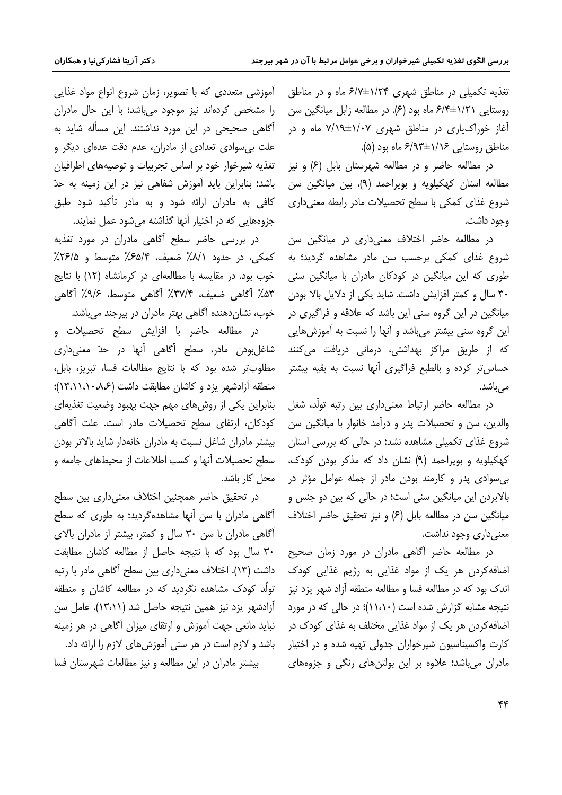تغذیه تکمیلی در مناطق شهری ۶/۷±۶/۷ ماه و در مناطق روستایی ۶/۴±۶/۴ ماه بود (۶). در مطالعه زابل میانگین سن آغاز خوراک،یاری در مناطق شهری ۱/۰۷±۷/۱۹ ماه و در مناطق روستایی ۶/۹۳±۶/۹۳ ماه بود (۵).

در مطالعه حاضر و در مطالعه شهرستان بابل (۶) و نیز مطالعه استان کهکیلویه و بویراحمد (۹)، بین میانگین سن شروع غذای کمکی با سطح تحصیلات مادر رابطه معنی داری وجود داشت.

در مطالعه حاضر اختلاف معنىدارى در ميانگين سن شروع غذای کمکی برحسب سن مادر مشاهده گردید؛ به طوری که این میانگین در کودکان مادران با میانگین سنی ٣٠ سال و كمتر افزايش داشت. شايد يكي از دلايل بالا بودن میانگین در این گروه سنی این باشد که علاقه و فراگیری در این گروه سنی بیشتر میباشد و آنها را نسبت به آموزشهایی که از طریق مراکز بهداشتی، درمانی دریافت می،کنند حساس تر کرده و بالطبع فراگیری آنها نسبت به بقیه بیشتر مے باشد.

در مطالعه حاضر ارتباط معنىدارى بين رتبه تولَّد، شغل والدین، سن و تحصیلات پدر و درآمد خانوار با میانگین سن شروع غذای تکمیلی مشاهده نشد؛ در حالی که بررسی استان کهکیلویه و بویراحمد (۹) نشان داد که مذکر بودن کودک، بی سوادی پدر و کارمند بودن مادر از جمله عوامل مؤثر در بالابردن این میانگین سنی است؛ در حالی که بین دو جنس و میانگین سن در مطالعه بابل (۶) و نیز تحقیق حاضر اختلاف معنی داری وجود نداشت.

در مطالعه حاضر آگاهی مادران در مورد زمان صحیح اضافه کردن هر یک از مواد غذایی به رژیم غذایی کودک اندک بود که در مطالعه فسا و مطالعه منطقه آزاد شهر یزد نیز نتیجه مشابه گزارش شده است (۱۱،۱۰)؛ در حالی که در مورد اضافه کردن هر یک از مواد غذایی مختلف به غذای کودک در کارت واکسیناسیون شیرخواران جدولی تهیه شده و در اختیار مادران می باشد؛ علاوه بر این بولتنهای رنگی و جزوههای

آموزشی متعددی که با تصویر، زمان شروع انواع مواد غذایی را مشخص كردهاند نيز موجود مى باشد؛ با اين حال مادران آگاهی صحیحی در این مورد نداشتند. این مسأله شاید به علت بی سوادی تعدادی از مادران، عدم دقت عدهای دیگر و تغذیه شیرخوار خود بر اساس تجربیات و توصیههای اطرافیان باشد؛ بنابراین باید آموزش شفاهی نیز در این زمینه به حدّ کافی به مادران ارائه شود و به مادر تأکید شود طبق جزوههایی که در اختیار آنها گذاشته میشود عمل نمایند.

در بررسی حاضر سطح آگاهی مادران در مورد تغذیه كمكي، در حدود ٨/١٪ ضعيف، ٤٥/٤٪ متوسط و ٢۶/٥٪ خوب بود. در مقایسه با مطالعهای در کرمانشاه (١٢) با نتایج ۵۳٪ آگاهی ضعیف، ۳۷/۴٪ آگاهی متوسط، ۹/۶٪ آگاهی خوب، نشان دهنده آگاهی بهتر مادران در بیرجند میباشد.

در مطالعه حاضر با افزایش سطح تحصیلات و شاغلبودن مادر، سطح آگاهی آنها در حدّ معنیداری مطلوبتر شده بود كه با نتايج مطالعات فسا، تبريز، بابل، منطقه آزادشهر یزد و کاشان مطابقت داشت (۱۳،۱۱،۱۰۸۶)؛ بنابراین یکی از روشهای مهم جهت بهبود وضعیت تغذیهای كودكان، ارتقاى سطح تحصيلات مادر است. علت آگاهى بیشتر مادران شاغل نسبت به مادران خانهدار شاید بالاتر بودن سطح تحصیلات آنها و کسب اطلاعات از محیطهای جامعه و محل کار باشد.

در تحقیق حاضر همچنین اختلاف معنیداری بین سطح آگاهی مادران با سن آنها مشاهدهگردید؛ به طوری که سطح آگاهی مادران با سن ۳۰ سال و کمتر، بیشتر از مادران بالای ٣٠ سال بود كه با نتيجه حاصل از مطالعه كاشان مطابقت داشت (١٣). اختلاف معنىدارى بين سطح آگاهى مادر با رتبه تولّد کودک مشاهده نگردید که در مطالعه کاشان و منطقه آزادشهر يزد نيز همين نتيجه حاصل شد (١٣،١١). عامل سن نباید مانعی جهت آموزش و ارتقای میزان آگاهی در هر زمینه باشد و لازم است در هر سنی آموزش های لازم را ارائه داد. بیشتر مادران در این مطالعه و نیز مطالعات شهرستان فسا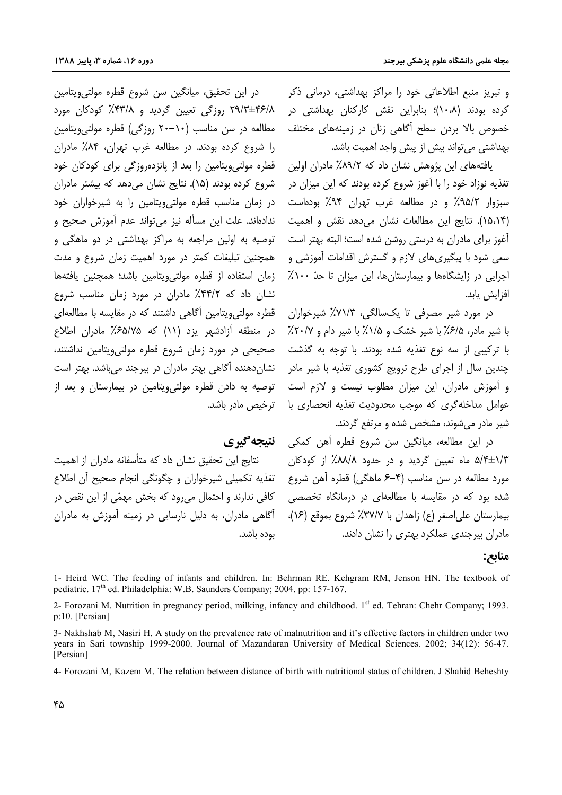و تبریز منبع اطلاعاتی خود را مراکز بهداشتی، درمانی ذکر کرده بودند (۱۰*۰*۸)؛ بنابراین نقش کارکنان بهداشتی در خصوص بالا بردن سطح آگاهی زنان در زمینههای مختلف بهداشتی می تواند بیش از پیش واجد اهمیت باشد.

یافتههای این پژوهش نشان داد که ۸۹/۲٪ مادران اولین .<br>تغذیه نوزاد خود را با آغوز شروع کرده بودند که این میزان در سبزوار ۹۵/۲٪ و در مطالعه غرب تهران ۹۴٪ بودهاست (۱۵،۱۴). نتایج این مطالعات نشان میدهد نقش و اهمیت آغوز برای مادران به درستی روشن شده است؛ البته بهتر است توصیه به اولین مراجعه به مراکز بهداشتی در دو ماهگی و سعی شود با پیگیریهای لازم و گسترش اقدامات آموزشی و اجرایی در زایشگاهها و بیمارستان ها، این میزان تا حدّ ۱۰۰٪ افزايش يابد.

> در مورد شیر مصرفی تا یکسالگی، ۷۱/۳٪ شیرخواران با شیر مادر، ۶/۵٪ با شیر خشک و ۱/۵٪ با شیر دام و ۲۰/۷٪ با ترکیبی از سه نوع تغذیه شده بودند. با توجه به گذشت چندین سال از اجرای طرح ترویج کشوری تغذیه با شیر مادر و آموزش مادران، این میزان مطلوب نیست و لازم است عوامل مداخله گری که موجب محدودیت تغذیه انحصاری با ترخیص مادر باشد. شیر مادر می شوند، مشخص شده و مرتفع گردند.

در این مطالعه، میانگین سن شروع قطره آهن کمکی **ِ نتیجه گیری** ۵/۴±۱/۳ ماه تعیین گردید و در حدود ۸۸/۸٪ از کودکان مورد مطالعه در سن مناسب (۴–۶ ماهگی) قطره آهن شروع شده بود که در مقایسه با مطالعهای در درمانگاه تخصصی بيمارستان على اصغر (ع) زاهدان با ٣٧/٧٪ شروع بموقع (١۶)، مادران بیرجندی عملکرد بهتری را نشان دادند.

#### منابع:

1- Heird WC. The feeding of infants and children. In: Behrman RE. Kehgram RM, Jenson HN. The textbook of pediatric. 17<sup>th</sup> ed. Philadelphia: W.B. Saunders Company; 2004. pp: 157-167.

2- Forozani M. Nutrition in pregnancy period, milking, infancy and childhood. 1<sup>st</sup> ed. Tehran: Chehr Company; 1993. p:10. [Persian]

3- Nakhshab M, Nasiri H. A study on the prevalence rate of malnutrition and it's effective factors in children under two years in Sari township 1999-2000. Journal of Mazandaran University of Medical Sciences. 2002; 34(12): 56-47. [Persian]

4- Forozani M. Kazem M. The relation between distance of birth with nutritional status of children. J Shahid Beheshtv

را شروع کرده بودند. در مطالعه غرب تهران، ۸۴٪ مادران قطرہ مولتے ویتامین را بعد از پانزدہروزگی برای کودکان خود شروع کرده بودند (۱۵). نتایج نشان میدهد که بیشتر مادران در زمان مناسب قطره مولتی ویتامین را به شیرخواران خود ندادهاند. علت این مسأله نیز می تواند عدم آموزش صحیح و همچنین تبلیغات کمتر در مورد اهمیت زمان شروع و مدت زمان استفاده از قطره مولتی ویتامین باشد؛ همچنین یافتهها نشان داد که ۴۴/۲٪ مادران در مورد زمان مناسب شروع قطره مولتے ویتامین آگاهی داشتند که در مقایسه با مطالعهای در منطقه آزادشهر یزد (۱۱) که ۶۵/۷۵٪ مادران اطلاع صحیحی در مورد زمان شروع قطره مولتیویتامین نداشتند، نشان دهنده آگاهی بهتر مادران در بیرجند می باشد. بهتر است توصیه به دادن قطره مولتی ویتامین در بیمارستان و بعد از

در اين تحقيق، ميانگين سن شروع قطره مولتيeيتامين

۲۹/۳±۴۶/۸ روزگی تعیین گردید و ۴۳/۸٪ کودکان مورد

مطالعه در سن مناسب (۱۰-۲۰ روزگی) قطره مولتی ویتامین

نتایج این تحقیق نشان داد که متأسفانه مادران از اهمت تغذيه تكميلي شيرخواران و چگونگي انجام صحيح آن اطلاع کافی ندارند و احتمال میرود که بخش مهمّی از این نقص در آگاهی مادران، به دلیل نارسایی در زمینه آموزش به مادران ىودە باشد.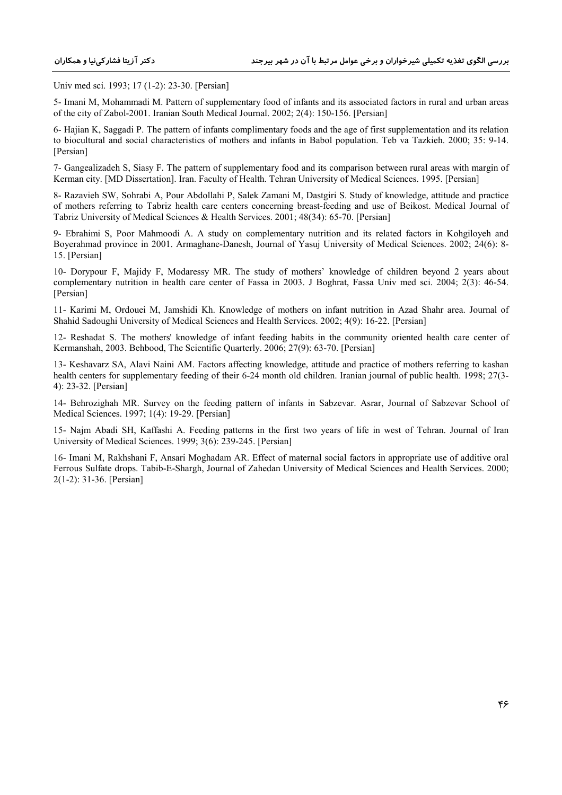Univ med sci. 1993; 17 (1-2): 23-30. [Persian]

5- Imani M, Mohammadi M. Pattern of supplementary food of infants and its associated factors in rural and urban areas of the city of Zabol-2001. Iranian South Medical Journal. 2002; 2(4): 150-156. [Persian]

6- Hajian K, Saggadi P. The pattern of infants complimentary foods and the age of first supplementation and its relation to biocultural and social characteristics of mothers and infants in Babol population. Teb va Tazkieh. 2000; 35: 9-14. [Persian]

7- Gangealizadeh S, Siasy F. The pattern of supplementary food and its comparison between rural areas with margin of Kerman city. [MD Dissertation]. Iran. Faculty of Health. Tehran University of Medical Sciences. 1995. [Persian]

8- Razavieh SW, Sohrabi A, Pour Abdollahi P, Salek Zamani M, Dastgiri S. Study of knowledge, attitude and practice of mothers referring to Tabriz health care centers concerning breast-feeding and use of Beikost. Medical Journal of Tabriz University of Medical Sciences & Health Services. 2001; 48(34): 65-70. [Persian]

9- Ebrahimi S, Poor Mahmoodi A. A study on complementary nutrition and its related factors in Kohgiloyeh and Boyerahmad province in 2001. Armaghane-Danesh, Journal of Yasuj University of Medical Sciences. 2002; 24(6): 8- 15. [Persian]

10- Dorypour F, Majidy F, Modaressy MR. The study of mothers' knowledge of children beyond 2 years about complementary nutrition in health care center of Fassa in 2003. J Boghrat, Fassa Univ med sci. 2004; 2(3): 46-54. [Persian]

11- Karimi M, Ordouei M, Jamshidi Kh. Knowledge of mothers on infant nutrition in Azad Shahr area. Journal of Shahid Sadoughi University of Medical Sciences and Health Services. 2002; 4(9): 16-22. [Persian]

12- Reshadat S. The mothers' knowledge of infant feeding habits in the community oriented health care center of Kermanshah, 2003. Behbood, The Scientific Quarterly. 2006; 27(9): 63-70. [Persian]

13- Keshavarz SA, Alavi Naini AM. Factors affecting knowledge, attitude and practice of mothers referring to kashan health centers for supplementary feeding of their 6-24 month old children. Iranian journal of public health. 1998; 27(3- 4): 23-32. [Persian]

14- Behrozighah MR. Survey on the feeding pattern of infants in Sabzevar. Asrar, Journal of Sabzevar School of Medical Sciences. 1997; 1(4): 19-29. [Persian]

15- Najm Abadi SH, Kaffashi A. Feeding patterns in the first two years of life in west of Tehran. Journal of Iran University of Medical Sciences. 1999; 3(6): 239-245. [Persian]

16- Imani M, Rakhshani F, Ansari Moghadam AR. Effect of maternal social factors in appropriate use of additive oral Ferrous Sulfate drops. Tabib-E-Shargh, Journal of Zahedan University of Medical Sciences and Health Services. 2000; 2(1-2): 31-36. [Persian]